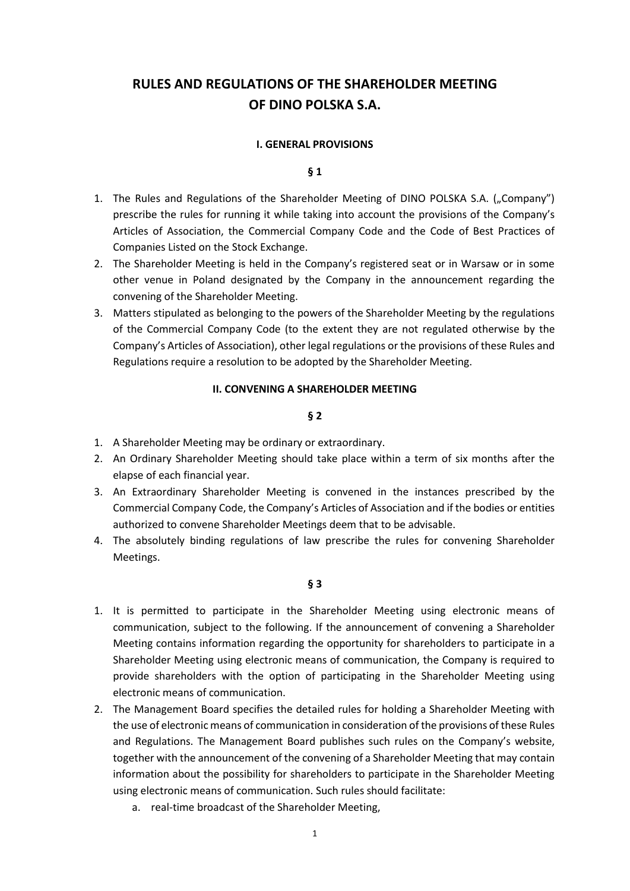# **RULES AND REGULATIONS OF THE SHAREHOLDER MEETING OF DINO POLSKA S.A.**

#### **I. GENERAL PROVISIONS**

#### **§ 1**

- 1. The Rules and Regulations of the Shareholder Meeting of DINO POLSKA S.A. ("Company") prescribe the rules for running it while taking into account the provisions of the Company's Articles of Association, the Commercial Company Code and the Code of Best Practices of Companies Listed on the Stock Exchange.
- 2. The Shareholder Meeting is held in the Company's registered seat or in Warsaw or in some other venue in Poland designated by the Company in the announcement regarding the convening of the Shareholder Meeting.
- 3. Matters stipulated as belonging to the powers of the Shareholder Meeting by the regulations of the Commercial Company Code (to the extent they are not regulated otherwise by the Company's Articles of Association), other legal regulations or the provisions of these Rules and Regulations require a resolution to be adopted by the Shareholder Meeting.

#### **II. CONVENING A SHAREHOLDER MEETING**

#### **§ 2**

- 1. A Shareholder Meeting may be ordinary or extraordinary.
- 2. An Ordinary Shareholder Meeting should take place within a term of six months after the elapse of each financial year.
- 3. An Extraordinary Shareholder Meeting is convened in the instances prescribed by the Commercial Company Code, the Company's Articles of Association and if the bodies or entities authorized to convene Shareholder Meetings deem that to be advisable.
- 4. The absolutely binding regulations of law prescribe the rules for convening Shareholder Meetings.

- 1. It is permitted to participate in the Shareholder Meeting using electronic means of communication, subject to the following. If the announcement of convening a Shareholder Meeting contains information regarding the opportunity for shareholders to participate in a Shareholder Meeting using electronic means of communication, the Company is required to provide shareholders with the option of participating in the Shareholder Meeting using electronic means of communication.
- 2. The Management Board specifies the detailed rules for holding a Shareholder Meeting with the use of electronic means of communication in consideration of the provisions of these Rules and Regulations. The Management Board publishes such rules on the Company's website, together with the announcement of the convening of a Shareholder Meeting that may contain information about the possibility for shareholders to participate in the Shareholder Meeting using electronic means of communication. Such rules should facilitate:
	- a. real-time broadcast of the Shareholder Meeting,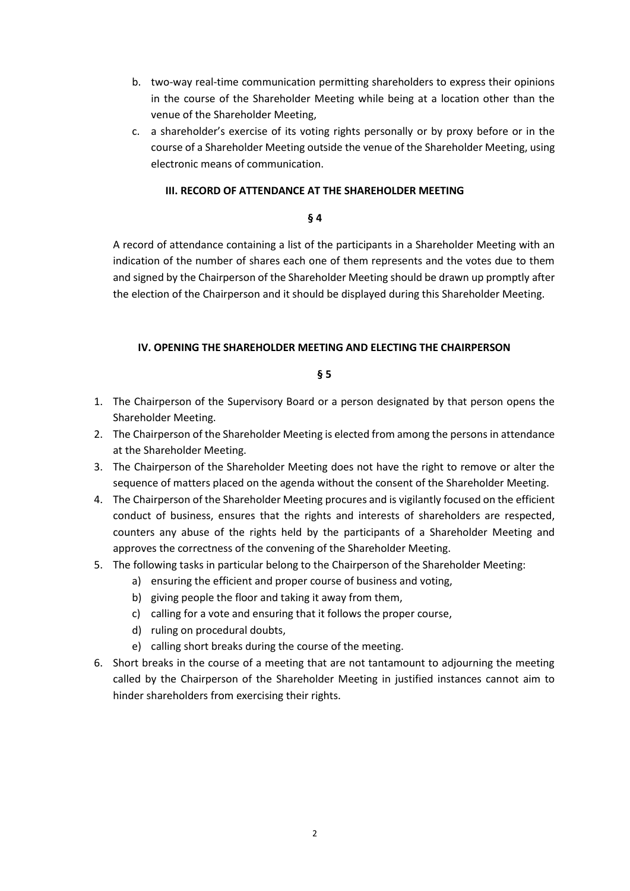- b. two-way real-time communication permitting shareholders to express their opinions in the course of the Shareholder Meeting while being at a location other than the venue of the Shareholder Meeting,
- c. a shareholder's exercise of its voting rights personally or by proxy before or in the course of a Shareholder Meeting outside the venue of the Shareholder Meeting, using electronic means of communication.

## **III. RECORD OF ATTENDANCE AT THE SHAREHOLDER MEETING**

## **§ 4**

A record of attendance containing a list of the participants in a Shareholder Meeting with an indication of the number of shares each one of them represents and the votes due to them and signed by the Chairperson of the Shareholder Meeting should be drawn up promptly after the election of the Chairperson and it should be displayed during this Shareholder Meeting.

## **IV. OPENING THE SHAREHOLDER MEETING AND ELECTING THE CHAIRPERSON**

- 1. The Chairperson of the Supervisory Board or a person designated by that person opens the Shareholder Meeting.
- 2. The Chairperson of the Shareholder Meeting is elected from among the persons in attendance at the Shareholder Meeting.
- 3. The Chairperson of the Shareholder Meeting does not have the right to remove or alter the sequence of matters placed on the agenda without the consent of the Shareholder Meeting.
- 4. The Chairperson of the Shareholder Meeting procures and is vigilantly focused on the efficient conduct of business, ensures that the rights and interests of shareholders are respected, counters any abuse of the rights held by the participants of a Shareholder Meeting and approves the correctness of the convening of the Shareholder Meeting.
- 5. The following tasks in particular belong to the Chairperson of the Shareholder Meeting:
	- a) ensuring the efficient and proper course of business and voting,
	- b) giving people the floor and taking it away from them,
	- c) calling for a vote and ensuring that it follows the proper course,
	- d) ruling on procedural doubts,
	- e) calling short breaks during the course of the meeting.
- 6. Short breaks in the course of a meeting that are not tantamount to adjourning the meeting called by the Chairperson of the Shareholder Meeting in justified instances cannot aim to hinder shareholders from exercising their rights.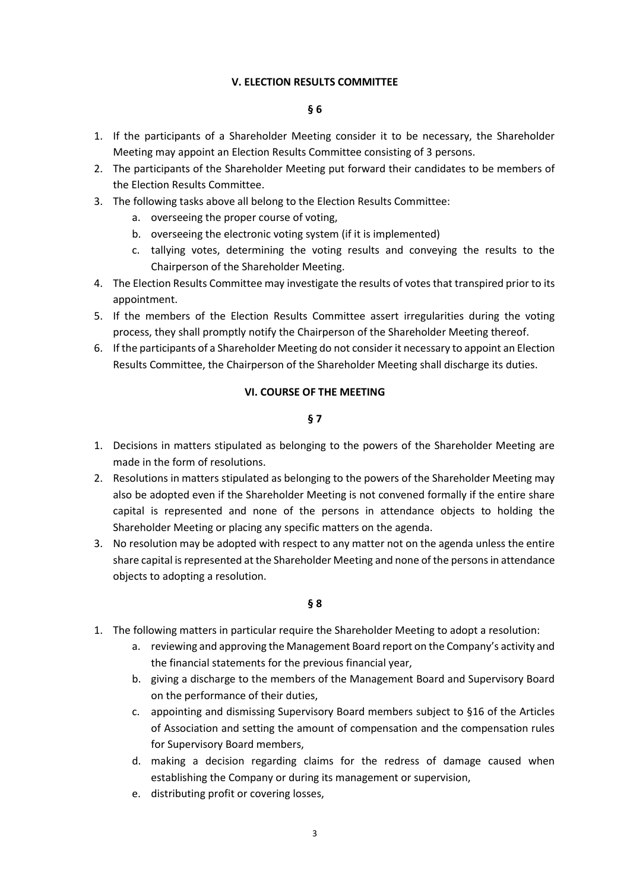## **V. ELECTION RESULTS COMMITTEE**

## **§ 6**

- 1. If the participants of a Shareholder Meeting consider it to be necessary, the Shareholder Meeting may appoint an Election Results Committee consisting of 3 persons.
- 2. The participants of the Shareholder Meeting put forward their candidates to be members of the Election Results Committee.
- 3. The following tasks above all belong to the Election Results Committee:
	- a. overseeing the proper course of voting,
	- b. overseeing the electronic voting system (if it is implemented)
	- c. tallying votes, determining the voting results and conveying the results to the Chairperson of the Shareholder Meeting.
- 4. The Election Results Committee may investigate the results of votes that transpired prior to its appointment.
- 5. If the members of the Election Results Committee assert irregularities during the voting process, they shall promptly notify the Chairperson of the Shareholder Meeting thereof.
- 6. If the participants of a Shareholder Meeting do not consider it necessary to appoint an Election Results Committee, the Chairperson of the Shareholder Meeting shall discharge its duties.

#### **VI. COURSE OF THE MEETING**

## **§ 7**

- 1. Decisions in matters stipulated as belonging to the powers of the Shareholder Meeting are made in the form of resolutions.
- 2. Resolutions in matters stipulated as belonging to the powers of the Shareholder Meeting may also be adopted even if the Shareholder Meeting is not convened formally if the entire share capital is represented and none of the persons in attendance objects to holding the Shareholder Meeting or placing any specific matters on the agenda.
- 3. No resolution may be adopted with respect to any matter not on the agenda unless the entire share capital is represented at the Shareholder Meeting and none of the persons in attendance objects to adopting a resolution.

- 1. The following matters in particular require the Shareholder Meeting to adopt a resolution:
	- a. reviewing and approving the Management Board report on the Company's activity and the financial statements for the previous financial year,
	- b. giving a discharge to the members of the Management Board and Supervisory Board on the performance of their duties,
	- c. appointing and dismissing Supervisory Board members subject to §16 of the Articles of Association and setting the amount of compensation and the compensation rules for Supervisory Board members,
	- d. making a decision regarding claims for the redress of damage caused when establishing the Company or during its management or supervision,
	- e. distributing profit or covering losses,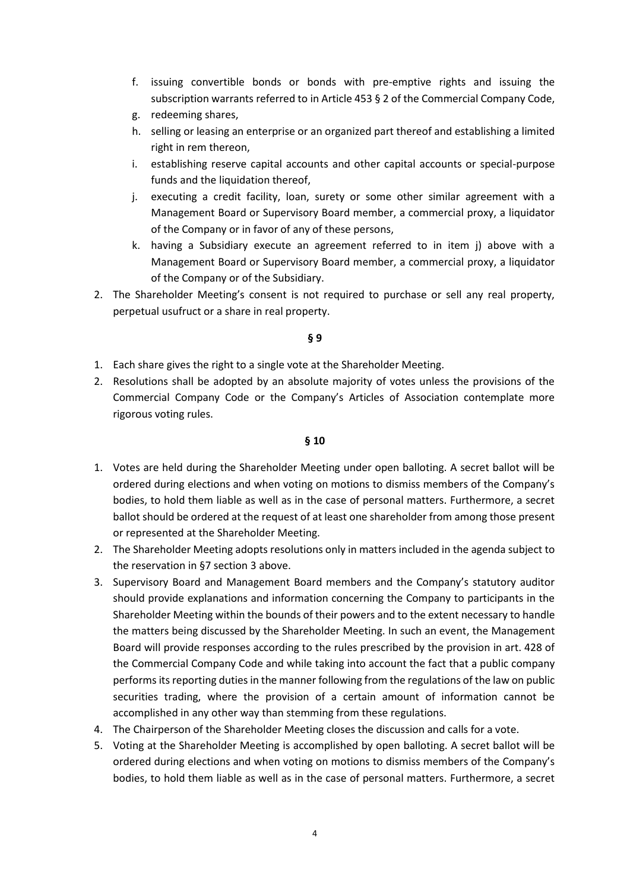- f. issuing convertible bonds or bonds with pre-emptive rights and issuing the subscription warrants referred to in Article 453 § 2 of the Commercial Company Code,
- g. redeeming shares,
- h. selling or leasing an enterprise or an organized part thereof and establishing a limited right in rem thereon,
- i. establishing reserve capital accounts and other capital accounts or special-purpose funds and the liquidation thereof,
- j. executing a credit facility, loan, surety or some other similar agreement with a Management Board or Supervisory Board member, a commercial proxy, a liquidator of the Company or in favor of any of these persons,
- k. having a Subsidiary execute an agreement referred to in item j) above with a Management Board or Supervisory Board member, a commercial proxy, a liquidator of the Company or of the Subsidiary.
- 2. The Shareholder Meeting's consent is not required to purchase or sell any real property, perpetual usufruct or a share in real property.

# **§ 9**

- 1. Each share gives the right to a single vote at the Shareholder Meeting.
- 2. Resolutions shall be adopted by an absolute majority of votes unless the provisions of the Commercial Company Code or the Company's Articles of Association contemplate more rigorous voting rules.

- 1. Votes are held during the Shareholder Meeting under open balloting. A secret ballot will be ordered during elections and when voting on motions to dismiss members of the Company's bodies, to hold them liable as well as in the case of personal matters. Furthermore, a secret ballot should be ordered at the request of at least one shareholder from among those present or represented at the Shareholder Meeting.
- 2. The Shareholder Meeting adopts resolutions only in matters included in the agenda subject to the reservation in §7 section 3 above.
- 3. Supervisory Board and Management Board members and the Company's statutory auditor should provide explanations and information concerning the Company to participants in the Shareholder Meeting within the bounds of their powers and to the extent necessary to handle the matters being discussed by the Shareholder Meeting. In such an event, the Management Board will provide responses according to the rules prescribed by the provision in art. 428 of the Commercial Company Code and while taking into account the fact that a public company performs its reporting duties in the manner following from the regulations of the law on public securities trading, where the provision of a certain amount of information cannot be accomplished in any other way than stemming from these regulations.
- 4. The Chairperson of the Shareholder Meeting closes the discussion and calls for a vote.
- 5. Voting at the Shareholder Meeting is accomplished by open balloting. A secret ballot will be ordered during elections and when voting on motions to dismiss members of the Company's bodies, to hold them liable as well as in the case of personal matters. Furthermore, a secret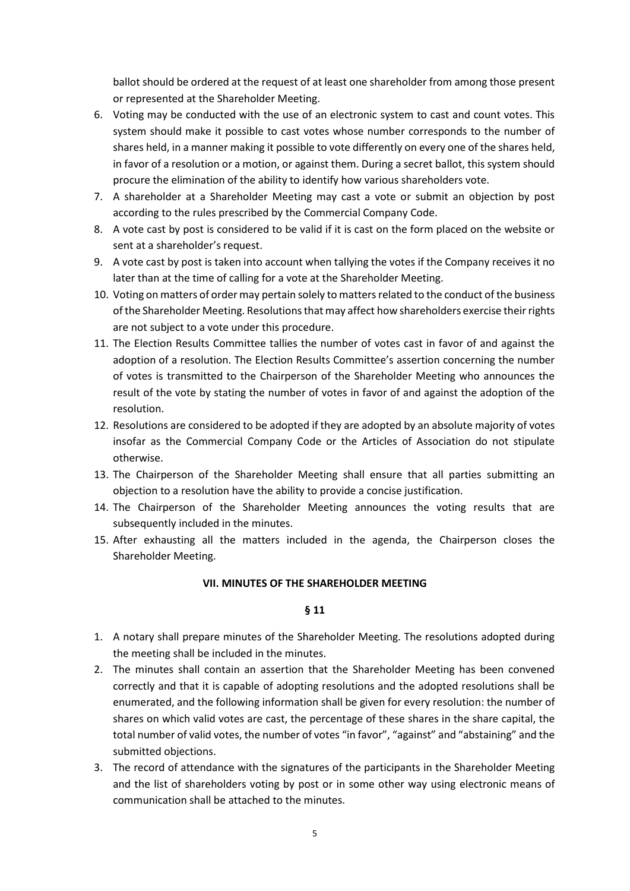ballot should be ordered at the request of at least one shareholder from among those present or represented at the Shareholder Meeting.

- 6. Voting may be conducted with the use of an electronic system to cast and count votes. This system should make it possible to cast votes whose number corresponds to the number of shares held, in a manner making it possible to vote differently on every one of the shares held, in favor of a resolution or a motion, or against them. During a secret ballot, this system should procure the elimination of the ability to identify how various shareholders vote.
- 7. A shareholder at a Shareholder Meeting may cast a vote or submit an objection by post according to the rules prescribed by the Commercial Company Code.
- 8. A vote cast by post is considered to be valid if it is cast on the form placed on the website or sent at a shareholder's request.
- 9. A vote cast by post is taken into account when tallying the votes if the Company receives it no later than at the time of calling for a vote at the Shareholder Meeting.
- 10. Voting on matters of order may pertain solely to matters related to the conduct of the business of the Shareholder Meeting. Resolutions that may affect how shareholders exercise their rights are not subject to a vote under this procedure.
- 11. The Election Results Committee tallies the number of votes cast in favor of and against the adoption of a resolution. The Election Results Committee's assertion concerning the number of votes is transmitted to the Chairperson of the Shareholder Meeting who announces the result of the vote by stating the number of votes in favor of and against the adoption of the resolution.
- 12. Resolutions are considered to be adopted if they are adopted by an absolute majority of votes insofar as the Commercial Company Code or the Articles of Association do not stipulate otherwise.
- 13. The Chairperson of the Shareholder Meeting shall ensure that all parties submitting an objection to a resolution have the ability to provide a concise justification.
- 14. The Chairperson of the Shareholder Meeting announces the voting results that are subsequently included in the minutes.
- 15. After exhausting all the matters included in the agenda, the Chairperson closes the Shareholder Meeting.

## **VII. MINUTES OF THE SHAREHOLDER MEETING**

- 1. A notary shall prepare minutes of the Shareholder Meeting. The resolutions adopted during the meeting shall be included in the minutes.
- 2. The minutes shall contain an assertion that the Shareholder Meeting has been convened correctly and that it is capable of adopting resolutions and the adopted resolutions shall be enumerated, and the following information shall be given for every resolution: the number of shares on which valid votes are cast, the percentage of these shares in the share capital, the total number of valid votes, the number of votes "in favor", "against" and "abstaining" and the submitted objections.
- 3. The record of attendance with the signatures of the participants in the Shareholder Meeting and the list of shareholders voting by post or in some other way using electronic means of communication shall be attached to the minutes.